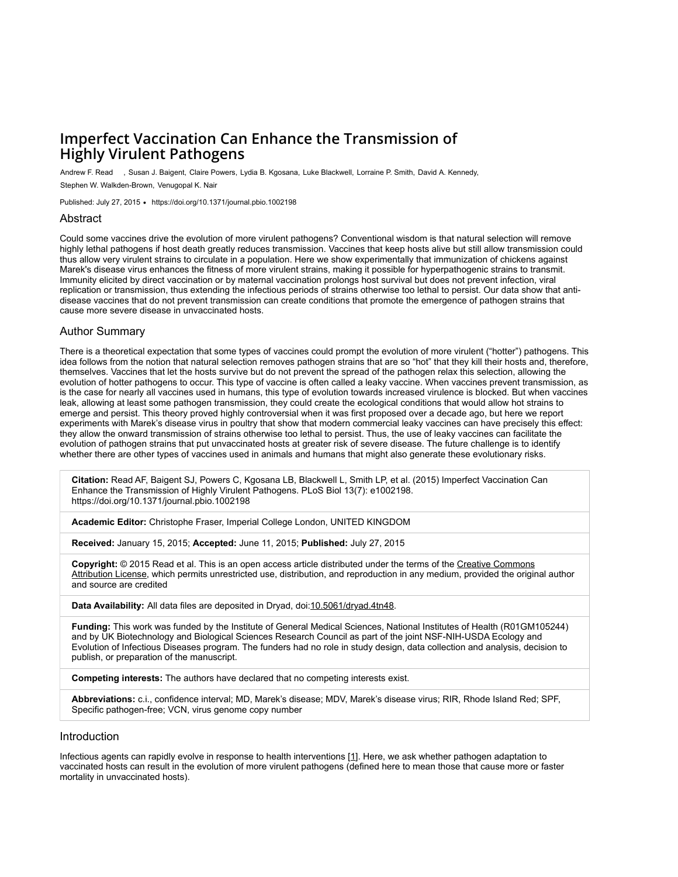# **Imperfect Vaccination Can Enhance the Transmission of Highly Virulent Pathogens**

Andrew F. Read , Susan J. Baigent, Claire Powers, Lydia B. Kgosana, Luke Blackwell, Lorraine P. Smith, David A. Kennedy, Stephen W. Walkden-Brown, Venugopal K. Nair

Published: July 27, 2015 • <https://doi.org/10.1371/journal.pbio.1002198>

# Abstract

Could some vaccines drive the evolution of more virulent pathogens? Conventional wisdom is that natural selection will remove highly lethal pathogens if host death greatly reduces transmission. Vaccines that keep hosts alive but still allow transmission could thus allow very virulent strains to circulate in a population. Here we show experimentally that immunization of chickens against Marek's disease virus enhances the fitness of more virulent strains, making it possible for hyperpathogenic strains to transmit. Immunity elicited by direct vaccination or by maternal vaccination prolongs host survival but does not prevent infection, viral replication or transmission, thus extending the infectious periods of strains otherwise too lethal to persist. Our data show that antidisease vaccines that do not prevent transmission can create conditions that promote the emergence of pathogen strains that cause more severe disease in unvaccinated hosts.

# Author Summary

There is a theoretical expectation that some types of vaccines could prompt the evolution of more virulent ("hotter") pathogens. This idea follows from the notion that natural selection removes pathogen strains that are so "hot" that they kill their hosts and, therefore, themselves. Vaccines that let the hosts survive but do not prevent the spread of the pathogen relax this selection, allowing the evolution of hotter pathogens to occur. This type of vaccine is often called a leaky vaccine. When vaccines prevent transmission, as is the case for nearly all vaccines used in humans, this type of evolution towards increased virulence is blocked. But when vaccines leak, allowing at least some pathogen transmission, they could create the ecological conditions that would allow hot strains to emerge and persist. This theory proved highly controversial when it was first proposed over a decade ago, but here we report experiments with Marek's disease virus in poultry that show that modern commercial leaky vaccines can have precisely this effect: they allow the onward transmission of strains otherwise too lethal to persist. Thus, the use of leaky vaccines can facilitate the evolution of pathogen strains that put unvaccinated hosts at greater risk of severe disease. The future challenge is to identify whether there are other types of vaccines used in animals and humans that might also generate these evolutionary risks.

**Citation:** Read AF, Baigent SJ, Powers C, Kgosana LB, Blackwell L, Smith LP, et al. (2015) Imperfect Vaccination Can Enhance the Transmission of Highly Virulent Pathogens. PLoS Biol 13(7): e1002198. https://doi.org/10.1371/journal.pbio.1002198

**Academic Editor:** Christophe Fraser, Imperial College London, UNITED KINGDOM

**Received:** January 15, 2015; **Accepted:** June 11, 2015; **Published:** July 27, 2015

**Copyright:** © 2015 Read et al. This is an open access article distributed under the terms of the Creative Commons [Attribution License, which permits unrestricted use, distribution, and reproduction in any medium, provided the origin](http://creativecommons.org/licenses/by/4.0/)al author and source are credited

Data Availability: All data files are deposited in Dryad, doi[:10.5061/dryad.4tn48.](http://dx.doi.org/10.5061/dryad.4tn48)

**Funding:** This work was funded by the Institute of General Medical Sciences, National Institutes of Health (R01GM105244) and by UK Biotechnology and Biological Sciences Research Council as part of the joint NSF-NIH-USDA Ecology and Evolution of Infectious Diseases program. The funders had no role in study design, data collection and analysis, decision to publish, or preparation of the manuscript.

**Competing interests:** The authors have declared that no competing interests exist.

**Abbreviations:** c.i., confidence interval; MD, Marek's disease; MDV, Marek's disease virus; RIR, Rhode Island Red; SPF, Specific pathogen-free; VCN, virus genome copy number

# Introduction

Infectious agents can rapidly evolve in response to health interventions [[1](#page-8-0)]. Here, we ask whether pathogen adaptation to vaccinated hosts can result in the evolution of more virulent pathogens (defined here to mean those that cause more or faster mortality in unvaccinated hosts).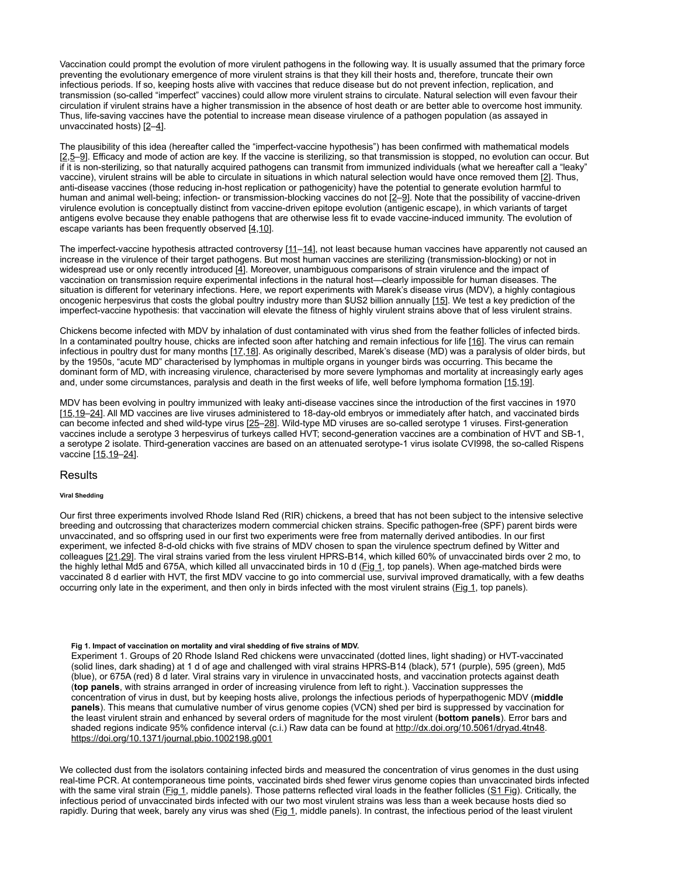Vaccination could prompt the evolution of more virulent pathogens in the following way. It is usually assumed that the primary force preventing the evolutionary emergence of more virulent strains is that they kill their hosts and, therefore, truncate their own infectious periods. If so, keeping hosts alive with vaccines that reduce disease but do not prevent infection, replication, and transmission (so-called "imperfect" vaccines) could allow more virulent strains to circulate. Natural selection will even favour their circulation if virulent strains have a higher transmission in the absence of host death or are better able to overcome host immunity. Thus, life-saving vaccines have the potential to increase mean disease virulence of a pathogen population (as assayed in unvaccinated hosts) [[2](#page-8-1)–[4\]](#page-8-2).

The plausibility of this idea (hereafter called the "imperfect-vaccine hypothesis") has been confirmed with mathematical models [\[2,](#page-8-1)5-[9\]](#page-8-4). Efficacy and mode of action are key. If the vaccine is sterilizing, so that transmission is stopped, no evolution can occur. But if it is non-sterilizing, so that naturally acquired pathogens can transmit from immunized individuals (what we hereafter call a "leaky" vaccine), virulent strains will be able to circulate in situations in which natural selection would have once removed them [[2](#page-8-1)]. Thus, anti-disease vaccines (those reducing in-host replication or pathogenicity) have the potential to generate evolution harmful to human and animal well-being; infection- or transmission-blocking vaccines do not [[2](#page-8-1)-9]. Note that the possibility of vaccine-driven virulence evolution is conceptually distinct from vaccine-driven epitope evolution (antigenic escape), in which variants of target antigens evolve because they enable pathogens that are otherwise less fit to evade vaccine-induced immunity. The evolution of escape variants has been frequently observed [[4](#page-8-2),[10\]](#page-8-5).

The imperfect-vaccine hypothesis attracted controversy [11-[14](#page-8-7)], not least because human vaccines have apparently not caused an increase in the virulence of their target pathogens. But most human vaccines are sterilizing (transmission-blocking) or not in widespread use or only recently introduced [[4\]](#page-8-2). Moreover, unambiguous comparisons of strain virulence and the impact of vaccination on transmission require experimental infections in the natural host—clearly impossible for human diseases. The situation is different for veterinary infections. Here, we report experiments with Marek's disease virus (MDV), a highly contagious oncogenic herpesvirus that costs the global poultry industry more than \$US2 billion annually [[15](#page-8-8)]. We test a key prediction of the imperfect-vaccine hypothesis: that vaccination will elevate the fitness of highly virulent strains above that of less virulent strains.

Chickens become infected with MDV by inhalation of dust contaminated with virus shed from the feather follicles of infected birds. In a contaminated poultry house, chicks are infected soon after hatching and remain infectious for life [[16](#page-8-9)]. The virus can remain infectious in poultry dust for many months [\[17,](#page-8-10)[18](#page-9-0)]. As originally described, Marek's disease (MD) was a paralysis of older birds, but by the 1950s, "acute MD" characterised by lymphomas in multiple organs in younger birds was occurring. This became the dominant form of MD, with increasing virulence, characterised by more severe lymphomas and mortality at increasingly early ages and, under some circumstances, paralysis and death in the first weeks of life, well before lymphoma formation [[15](#page-8-8)[,19](#page-9-1)].

MDV has been evolving in poultry immunized with leaky anti-disease vaccines since the introduction of the first vaccines in 1970 [\[15](#page-8-8),[19](#page-9-1)[–24\]](#page-9-2). All MD vaccines are live viruses administered to 18-day-old embryos or immediately after hatch, and vaccinated birds can become infected and shed wild-type virus [[25](#page-9-3)-[28\]](#page-9-4). Wild-type MD viruses are so-called serotype 1 viruses. First-generation vaccines include a serotype 3 herpesvirus of turkeys called HVT; second-generation vaccines are a combination of HVT and SB-1, a serotype 2 isolate. Third-generation vaccines are based on an attenuated serotype-1 virus isolate CVI998, the so-called Rispens vaccine [\[15,](#page-8-8)[19](#page-9-1)–[24\]](#page-9-2).

### Results

### **Viral Shedding**

Our first three experiments involved Rhode Island Red (RIR) chickens, a breed that has not been subject to the intensive selective breeding and outcrossing that characterizes modern commercial chicken strains. Specific pathogen-free (SPF) parent birds were unvaccinated, and so offspring used in our first two experiments were free from maternally derived antibodies. In our first experiment, we infected 8-d-old chicks with five strains of MDV chosen to span the virulence spectrum defined by Witter and colleagues [[21](#page-9-5),[29](#page-9-6)]. The viral strains varied from the less virulent HPRS-B14, which killed 60% of unvaccinated birds over 2 mo, to the highly lethal Md5 and 675A, which killed all unvaccinated birds in 10 d (*Eig 1*, top panels). When age-matched birds were vaccinated 8 d earlier with HVT, the first MDV vaccine to go into commercial use, survival improved dramatically, with a few deaths occurring only late in the experiment, and then only in birds infected with the most virulent strains ( $Eq_1$ , top panels).

#### <span id="page-1-0"></span>**Fig 1. Impact of vaccination on mortality and viral shedding of five strains of MDV.**

Experiment 1. Groups of 20 Rhode Island Red chickens were unvaccinated (dotted lines, light shading) or HVT-vaccinated (solid lines, dark shading) at 1 d of age and challenged with viral strains HPRS-B14 (black), 571 (purple), 595 (green), Md5 (blue), or 675A (red) 8 d later. Viral strains vary in virulence in unvaccinated hosts, and vaccination protects against death (**top panels**, with strains arranged in order of increasing virulence from left to right.). Vaccination suppresses the concentration of virus in dust, but by keeping hosts alive, prolongs the infectious periods of hyperpathogenic MDV (**middle panels**). This means that cumulative number of virus genome copies (VCN) shed per bird is suppressed by vaccination for the least virulent strain and enhanced by several orders of magnitude for the most virulent (**bottom panels**). Error bars and shaded regions indicate 95% confidence interval (c.i.) Raw data can be found at [http://dx.doi.org/10.5061/dryad.4tn48.](http://dx.doi.org/10.5061/dryad.4tn48) <https://doi.org/10.1371/journal.pbio.1002198.g001>

We collected dust from the isolators containing infected birds and measured the concentration of virus genomes in the dust using real-time PCR. At contemporaneous time points, vaccinated birds shed fewer virus genome copies than unvaccinated birds infected with the same viral strain ([Fig 1,](#page-1-0) middle panels). Those patterns reflected viral loads in the feather follicles ([S1 Fig\)](#page-7-0). Critically, the infectious period of unvaccinated birds infected with our two most virulent strains was less than a week because hosts died so rapidly. During that week, barely any virus was shed (*Fig 1*, middle panels). In contrast, the infectious period of the least virulent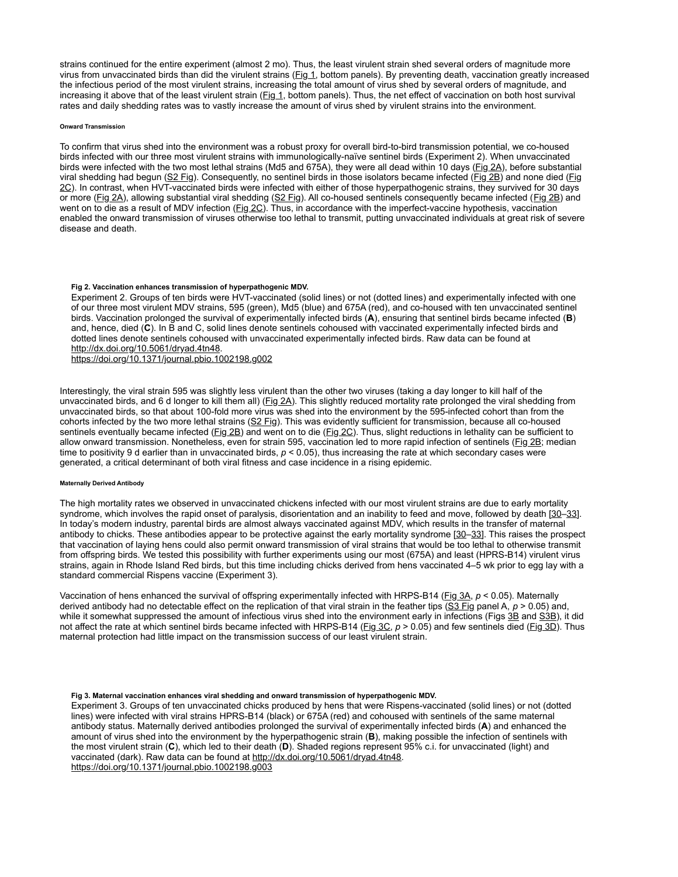strains continued for the entire experiment (almost 2 mo). Thus, the least virulent strain shed several orders of magnitude more virus from unvaccinated birds than did the virulent strains (*Fig 1*, bottom panels). By preventing death, vaccination greatly increased the infectious period of the most virulent strains, increasing the total amount of virus shed by several orders of magnitude, and increasing it above that of the least virulent strain (*Fig 1*, bottom panels). Thus, the net effect of vaccination on both host survival rates and daily shedding rates was to vastly increase the amount of virus shed by virulent strains into the environment.

#### **Onward Transmission**

To confirm that virus shed into the environment was a robust proxy for overall bird-to-bird transmission potential, we co-housed birds infected with our three most virulent strains with immunologically-naïve sentinel birds (Experiment 2). When unvaccinated birds were infected with the two most lethal strains (Md5 and 675A), they were all dead within 10 days (Eig 2A), before substantial [viral shedding had begun \(S](#page-2-0)[2 Fig](#page-7-1)[\). Consequently, no sentinel birds in those isolators became infected \(Fig 2B\) and none died \(Fig](#page-2-0) 2C). In contrast, when HVT-vaccinated birds were infected with either of those hyperpathogenic strains, they survived for 30 days or more [\(Fig 2A](#page-2-0)), allowing substantial viral shedding ([S2 Fig\)](#page-7-1). All co-housed sentinels consequently became infected ([Fig 2B\)](#page-2-0) and went on to die as a result of MDV infection  $(\underline{Fig. 2C})$ . Thus, in accordance with the imperfect-vaccine hypothesis, vaccination enabled the onward transmission of viruses otherwise too lethal to transmit, putting unvaccinated individuals at great risk of severe disease and death.

#### <span id="page-2-0"></span>**Fig 2. Vaccination enhances transmission of hyperpathogenic MDV.**

Experiment 2. Groups of ten birds were HVT-vaccinated (solid lines) or not (dotted lines) and experimentally infected with one of our three most virulent MDV strains, 595 (green), Md5 (blue) and 675A (red), and co-housed with ten unvaccinated sentinel birds. Vaccination prolonged the survival of experimentally infected birds (**A**), ensuring that sentinel birds became infected (**B**) and, hence, died (**C**). In B and C, solid lines denote sentinels cohoused with vaccinated experimentally infected birds and dotted lines denote sentinels cohoused with unvaccinated experimentally infected birds. Raw data can be found at [http://dx.doi.org/10.5061/dryad.4tn48.](http://dx.doi.org/10.5061/dryad.4tn48)

<https://doi.org/10.1371/journal.pbio.1002198.g002>

Interestingly, the viral strain 595 was slightly less virulent than the other two viruses (taking a day longer to kill half of the unvaccinated birds, and 6 d longer to kill them all) ([Fig 2A](#page-2-0)). This slightly reduced mortality rate prolonged the viral shedding from unvaccinated birds, so that about 100-fold more virus was shed into the environment by the 595-infected cohort than from the cohorts infected by the two more lethal strains [\(S2 Fig](#page-7-1)). This was evidently sufficient for transmission, because all co-housed sentinels eventually became infected [\(Fig 2B\)](#page-2-0) and went on to die ([Fig 2C\)](#page-2-0). Thus, slight reductions in lethality can be sufficient to allow onward transmission. Nonetheless, even for strain 595, vaccination led to more rapid infection of sentinels ([Fig 2B;](#page-2-0) median time to positivity 9 d earlier than in unvaccinated birds,  $p < 0.05$ ), thus increasing the rate at which secondary cases were generated, a critical determinant of both viral fitness and case incidence in a rising epidemic.

#### **Maternally Derived Antibody**

The high mortality rates we observed in unvaccinated chickens infected with our most virulent strains are due to early mortality syndrome, which involves the rapid onset of paralysis, disorientation and an inability to feed and move, followed by death [[30](#page-9-7)–[33](#page-9-8)]. In today's modern industry, parental birds are almost always vaccinated against MDV, which results in the transfer of maternal antibody to chicks. These antibodies appear to be protective against the early mortality syndrome [[30](#page-9-7)-[33\]](#page-9-8). This raises the prospect that vaccination of laying hens could also permit onward transmission of viral strains that would be too lethal to otherwise transmit from offspring birds. We tested this possibility with further experiments using our most (675A) and least (HPRS-B14) virulent virus strains, again in Rhode Island Red birds, but this time including chicks derived from hens vaccinated 4–5 wk prior to egg lay with a standard commercial Rispens vaccine (Experiment 3).

Vaccination of hens enhanced the survival of offspring experimentally infected with HRPS-B14 [\(Fig 3A](#page-2-1), *p* < 0.05). Maternally derived antibody had no detectable effect on the replication of that viral strain in the feather tips ([S3 Fig](#page-7-2) panel A, *p* > 0.05) and, while it somewhat suppressed the amount of infectious virus shed into the environment early in infections (Figs [3B](#page-2-1) and [S3B](#page-7-2)), it did not affect the rate at which sentinel birds became infected with HRPS-B14 [\(Fig 3C](#page-2-1),  $p > 0.05$ ) and few sentinels died [\(Fig 3D\)](#page-2-1). Thus maternal protection had little impact on the transmission success of our least virulent strain.

# <span id="page-2-1"></span>**Fig 3. Maternal vaccination enhances viral shedding and onward transmission of hyperpathogenic MDV.**

Experiment 3. Groups of ten unvaccinated chicks produced by hens that were Rispens-vaccinated (solid lines) or not (dotted lines) were infected with viral strains HPRS-B14 (black) or 675A (red) and cohoused with sentinels of the same maternal antibody status. Maternally derived antibodies prolonged the survival of experimentally infected birds (**A**) and enhanced the amount of virus shed into the environment by the hyperpathogenic strain (**B**), making possible the infection of sentinels with the most virulent strain (**C**), which led to their death (**D**). Shaded regions represent 95% c.i. for unvaccinated (light) and vaccinated (dark). Raw data can be found at [http://dx.doi.org/10.5061/dryad.4tn48.](http://dx.doi.org/10.5061/dryad.4tn48)

<https://doi.org/10.1371/journal.pbio.1002198.g003>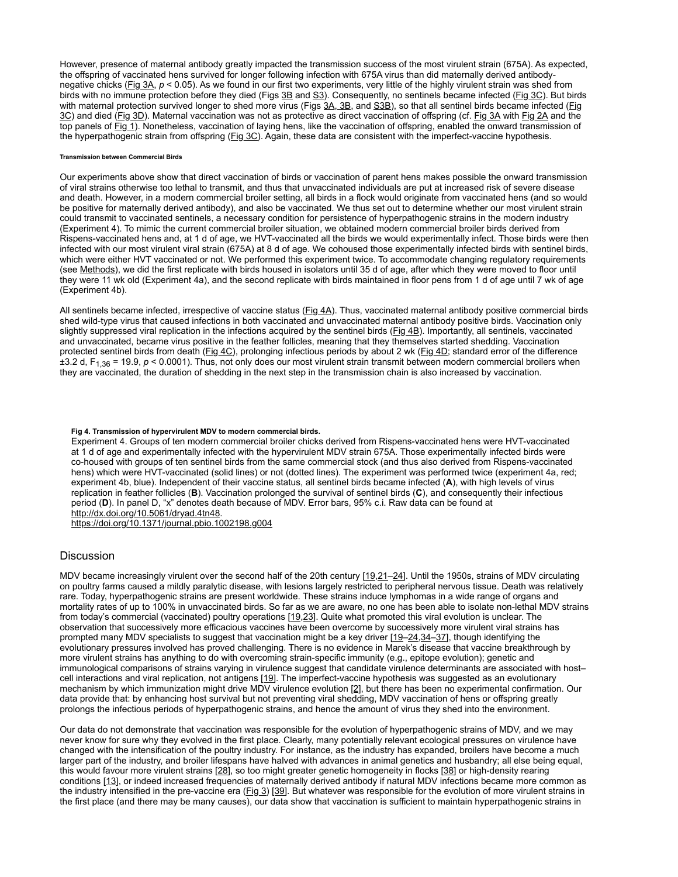However, presence of maternal antibody greatly impacted the transmission success of the most virulent strain (675A). As expected, the offspring of vaccinated hens survived for longer following infection with 675A virus than did maternally derived antibody-negative chicks [\(Fig 3A](#page-2-1),  $p < 0.05$ ). As we found in our first two experiments, very little of the highly virulent strain was shed from birds with no immune protection before they died (Figs [3B](#page-2-1) and [S3\)](#page-7-2). Consequently, no sentinels became infected ([Fig 3C](#page-2-1)). But birds [with maternal protection survived longer to shed more virus \(Figs 3A, 3B, and](#page-2-1) [S3](#page-7-2)[B\), so that all sentinel birds became infected \(Fig](#page-2-1) 3C) and died [\(Fig 3D\)](#page-2-1). Maternal vaccination was not as protective as direct vaccination of offspring (cf. [Fig 3A](#page-2-1) with [Fig 2A](#page-2-0) and the top panels of [Fig 1\)](#page-1-0). Nonetheless, vaccination of laying hens, like the vaccination of offspring, enabled the onward transmission of the hyperpathogenic strain from offspring [\(Fig 3C](#page-2-1)). Again, these data are consistent with the imperfect-vaccine hypothesis.

#### **Transmission between Commercial Birds**

Our experiments above show that direct vaccination of birds or vaccination of parent hens makes possible the onward transmission of viral strains otherwise too lethal to transmit, and thus that unvaccinated individuals are put at increased risk of severe disease and death. However, in a modern commercial broiler setting, all birds in a flock would originate from vaccinated hens (and so would be positive for maternally derived antibody), and also be vaccinated. We thus set out to determine whether our most virulent strain could transmit to vaccinated sentinels, a necessary condition for persistence of hyperpathogenic strains in the modern industry (Experiment 4). To mimic the current commercial broiler situation, we obtained modern commercial broiler birds derived from Rispens-vaccinated hens and, at 1 d of age, we HVT-vaccinated all the birds we would experimentally infect. Those birds were then infected with our most virulent viral strain (675A) at 8 d of age. We cohoused those experimentally infected birds with sentinel birds, which were either HVT vaccinated or not. We performed this experiment twice. To accommodate changing regulatory requirements (see [Methods\)](#page-4-0), we did the first replicate with birds housed in isolators until 35 d of age, after which they were moved to floor until they were 11 wk old (Experiment 4a), and the second replicate with birds maintained in floor pens from 1 d of age until 7 wk of age (Experiment 4b).

All sentinels became infected, irrespective of vaccine status (Fig.4A). Thus, vaccinated maternal antibody positive commercial birds shed wild-type virus that caused infections in both vaccinated and unvaccinated maternal antibody positive birds. Vaccination only slightly suppressed viral replication in the infections acquired by the sentinel birds ([Fig 4B\)](#page-3-0). Importantly, all sentinels, vaccinated and unvaccinated, became virus positive in the feather follicles, meaning that they themselves started shedding. Vaccination protected sentinel birds from death ([Fig 4C\)](#page-3-0), prolonging infectious periods by about 2 wk ([Fig 4D](#page-3-0); standard error of the difference ±3.2 d, F<sub>1,36</sub> = 19.9, *p* < 0.0001). Thus, not only does our most virulent strain transmit between modern commercial broilers when they are vaccinated, the duration of shedding in the next step in the transmission chain is also increased by vaccination.

#### <span id="page-3-0"></span>**Fig 4. Transmission of hypervirulent MDV to modern commercial birds.**

Experiment 4. Groups of ten modern commercial broiler chicks derived from Rispens-vaccinated hens were HVT-vaccinated at 1 d of age and experimentally infected with the hypervirulent MDV strain 675A. Those experimentally infected birds were co-housed with groups of ten sentinel birds from the same commercial stock (and thus also derived from Rispens-vaccinated hens) which were HVT-vaccinated (solid lines) or not (dotted lines). The experiment was performed twice (experiment 4a, red; experiment 4b, blue). Independent of their vaccine status, all sentinel birds became infected (**A**), with high levels of virus replication in feather follicles (**B**). Vaccination prolonged the survival of sentinel birds (**C**), and consequently their infectious period (**D**). In panel D, "x" denotes death because of MDV. Error bars, 95% c.i. Raw data can be found at [http://dx.doi.org/10.5061/dryad.4tn48.](http://dx.doi.org/10.5061/dryad.4tn48)

<https://doi.org/10.1371/journal.pbio.1002198.g004>

# **Discussion**

MDV became increasingly virulent over the second half of the 20th century [[19](#page-9-1)[,21](#page-9-5)–[24](#page-9-2)]. Until the 1950s, strains of MDV circulating on poultry farms caused a mildly paralytic disease, with lesions largely restricted to peripheral nervous tissue. Death was relatively rare. Today, hyperpathogenic strains are present worldwide. These strains induce lymphomas in a wide range of organs and mortality rates of up to 100% in unvaccinated birds. So far as we are aware, no one has been able to isolate non-lethal MDV strains from today's commercial (vaccinated) poultry operations [\[19,](#page-9-1)[23\]](#page-9-9). Quite what promoted this viral evolution is unclear. The observation that successively more efficacious vaccines have been overcome by successively more virulent viral strains has prompted many MDV specialists to suggest that vaccination might be a key driver [[19](#page-9-1)–[24,](#page-9-2)[34](#page-9-10)–[37\]](#page-10-0), though identifying the evolutionary pressures involved has proved challenging. There is no evidence in Marek's disease that vaccine breakthrough by more virulent strains has anything to do with overcoming strain-specific immunity (e.g., epitope evolution); genetic and immunological comparisons of strains varying in virulence suggest that candidate virulence determinants are associated with host– cell interactions and viral replication, not antigens [[19](#page-9-1)]. The imperfect-vaccine hypothesis was suggested as an evolutionary mechanism by which immunization might drive MDV virulence evolution [\[2\]](#page-8-1), but there has been no experimental confirmation. Our data provide that: by enhancing host survival but not preventing viral shedding, MDV vaccination of hens or offspring greatly prolongs the infectious periods of hyperpathogenic strains, and hence the amount of virus they shed into the environment.

Our data do not demonstrate that vaccination was responsible for the evolution of hyperpathogenic strains of MDV, and we may never know for sure why they evolved in the first place. Clearly, many potentially relevant ecological pressures on virulence have changed with the intensification of the poultry industry. For instance, as the industry has expanded, broilers have become a much larger part of the industry, and broiler lifespans have halved with advances in animal genetics and husbandry; all else being equal, this would favour more virulent strains [\[28\]](#page-9-4), so too might greater genetic homogeneity in flocks [[38\]](#page-10-1) or high-density rearing conditions [[13\]](#page-8-11), or indeed increased frequencies of maternally derived antibody if natural MDV infections became more common as the industry intensified in the pre-vaccine era [\(Fig 3\)](#page-2-1) [[39](#page-10-2)]. But whatever was responsible for the evolution of more virulent strains in the first place (and there may be many causes), our data show that vaccination is sufficient to maintain hyperpathogenic strains in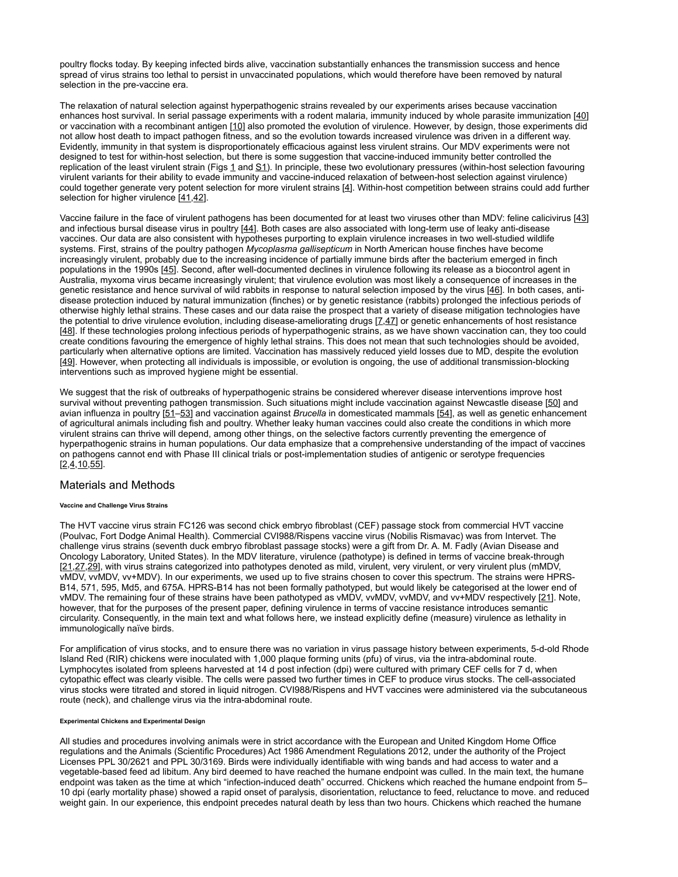poultry flocks today. By keeping infected birds alive, vaccination substantially enhances the transmission success and hence spread of virus strains too lethal to persist in unvaccinated populations, which would therefore have been removed by natural selection in the pre-vaccine era.

The relaxation of natural selection against hyperpathogenic strains revealed by our experiments arises because vaccination enhances host survival. In serial passage experiments with a rodent malaria, immunity induced by whole parasite immunization [\[40\]](#page-10-3) or vaccination with a recombinant antigen [[10](#page-8-5)] also promoted the evolution of virulence. However, by design, those experiments did not allow host death to impact pathogen fitness, and so the evolution towards increased virulence was driven in a different way. Evidently, immunity in that system is disproportionately efficacious against less virulent strains. Our MDV experiments were not designed to test for within-host selection, but there is some suggestion that vaccine-induced immunity better controlled the replication of the least virulent strain (Figs  $1$  and  $S1$ ). In principle, these two evolutionary pressures (within-host selection favouring virulent variants for their ability to evade immunity and vaccine-induced relaxation of between-host selection against virulence) could together generate very potent selection for more virulent strains [[4](#page-8-2)]. Within-host competition between strains could add further selection for higher virulence [[41](#page-10-4),[42\]](#page-10-5).

Vaccine failure in the face of virulent pathogens has been documented for at least two viruses other than MDV: feline calicivirus [\[43\]](#page-10-6) and infectious bursal disease virus in poultry [[44](#page-10-7)]. Both cases are also associated with long-term use of leaky anti-disease vaccines. Our data are also consistent with hypotheses purporting to explain virulence increases in two well-studied wildlife systems. First, strains of the poultry pathogen *Mycoplasma gallisepticum* in North American house finches have become increasingly virulent, probably due to the increasing incidence of partially immune birds after the bacterium emerged in finch populations in the 1990s [[45\]](#page-10-8). Second, after well-documented declines in virulence following its release as a biocontrol agent in Australia, myxoma virus became increasingly virulent; that virulence evolution was most likely a consequence of increases in the genetic resistance and hence survival of wild rabbits in response to natural selection imposed by the virus [\[46\]](#page-10-9). In both cases, antidisease protection induced by natural immunization (finches) or by genetic resistance (rabbits) prolonged the infectious periods of otherwise highly lethal strains. These cases and our data raise the prospect that a variety of disease mitigation technologies have the potential to drive virulence evolution, including disease-ameliorating drugs [\[7,](#page-8-12)[47](#page-10-10)] or genetic enhancements of host resistance [\[48](#page-10-11)]. If these technologies prolong infectious periods of hyperpathogenic strains, as we have shown vaccination can, they too could create conditions favouring the emergence of highly lethal strains. This does not mean that such technologies should be avoided, particularly when alternative options are limited. Vaccination has massively reduced yield losses due to MD, despite the evolution [\[49](#page-10-12)]. However, when protecting all individuals is impossible, or evolution is ongoing, the use of additional transmission-blocking interventions such as improved hygiene might be essential.

We suggest that the risk of outbreaks of hyperpathogenic strains be considered wherever disease interventions improve host survival without preventing pathogen transmission. Such situations might include vaccination against Newcastle disease [[50](#page-10-13)] and avian influenza in poultry [\[51](#page-10-14)–[53](#page-10-15)] and vaccination against *Brucella* in domesticated mammals [[54](#page-10-16)], as well as genetic enhancement of agricultural animals including fish and poultry. Whether leaky human vaccines could also create the conditions in which more virulent strains can thrive will depend, among other things, on the selective factors currently preventing the emergence of hyperpathogenic strains in human populations. Our data emphasize that a comprehensive understanding of the impact of vaccines on pathogens cannot end with Phase III clinical trials or post-implementation studies of antigenic or serotype frequencies  $[2,4,10,55]$  $[2,4,10,55]$  $[2,4,10,55]$  $[2,4,10,55]$ .

# <span id="page-4-0"></span>Materials and Methods

# **Vaccine and Challenge Virus Strains**

The HVT vaccine virus strain FC126 was second chick embryo fibroblast (CEF) passage stock from commercial HVT vaccine (Poulvac, Fort Dodge Animal Health). Commercial CVI988/Rispens vaccine virus (Nobilis Rismavac) was from Intervet. The challenge virus strains (seventh duck embryo fibroblast passage stocks) were a gift from Dr. A. M. Fadly (Avian Disease and Oncology Laboratory, United States). In the MDV literature, virulence (pathotype) is defined in terms of vaccine break-through [\[21](#page-9-5),[27](#page-9-11)[,29](#page-9-6)], with virus strains categorized into pathotypes denoted as mild, virulent, very virulent, or very virulent plus (mMDV, vMDV, vvMDV, vv+MDV). In our experiments, we used up to five strains chosen to cover this spectrum. The strains were HPRS-B14, 571, 595, Md5, and 675A. HPRS-B14 has not been formally pathotyped, but would likely be categorised at the lower end of vMDV. The remaining four of these strains have been pathotyped as vMDV, vvMDV, vvMDV, and vv+MDV respectively [[21\]](#page-9-5). Note, however, that for the purposes of the present paper, defining virulence in terms of vaccine resistance introduces semantic circularity. Consequently, in the main text and what follows here, we instead explicitly define (measure) virulence as lethality in immunologically naïve birds.

For amplification of virus stocks, and to ensure there was no variation in virus passage history between experiments, 5-d-old Rhode Island Red (RIR) chickens were inoculated with 1,000 plaque forming units (pfu) of virus, via the intra-abdominal route. Lymphocytes isolated from spleens harvested at 14 d post infection (dpi) were cultured with primary CEF cells for 7 d, when cytopathic effect was clearly visible. The cells were passed two further times in CEF to produce virus stocks. The cell-associated virus stocks were titrated and stored in liquid nitrogen. CVI988/Rispens and HVT vaccines were administered via the subcutaneous route (neck), and challenge virus via the intra-abdominal route.

### **Experimental Chickens and Experimental Design**

All studies and procedures involving animals were in strict accordance with the European and United Kingdom Home Office regulations and the Animals (Scientific Procedures) Act 1986 Amendment Regulations 2012, under the authority of the Project Licenses PPL 30/2621 and PPL 30/3169. Birds were individually identifiable with wing bands and had access to water and a vegetable-based feed ad libitum. Any bird deemed to have reached the humane endpoint was culled. In the main text, the humane endpoint was taken as the time at which "infection-induced death" occurred. Chickens which reached the humane endpoint from 5– 10 dpi (early mortality phase) showed a rapid onset of paralysis, disorientation, reluctance to feed, reluctance to move. and reduced weight gain. In our experience, this endpoint precedes natural death by less than two hours. Chickens which reached the humane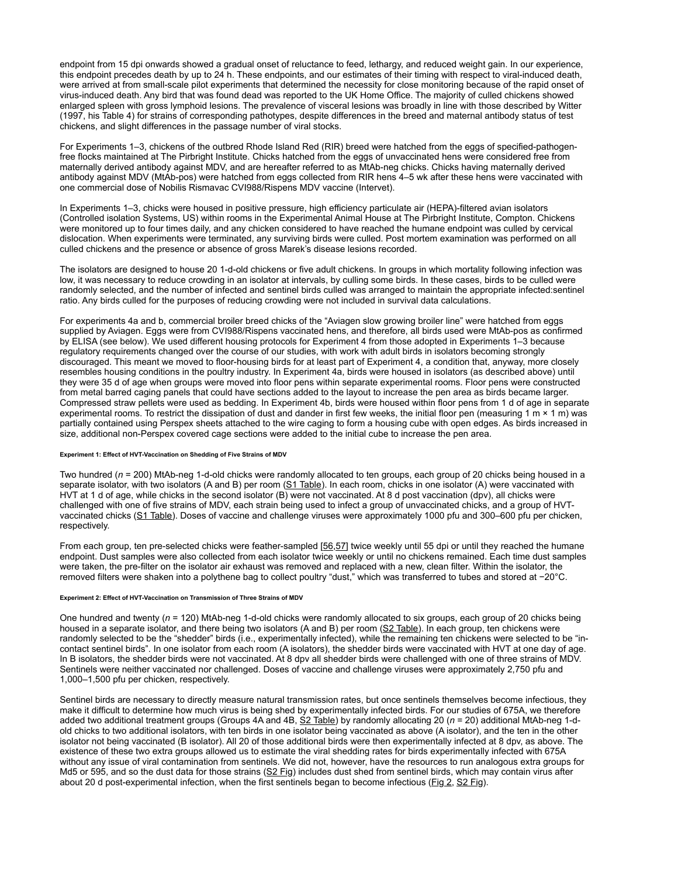endpoint from 15 dpi onwards showed a gradual onset of reluctance to feed, lethargy, and reduced weight gain. In our experience, this endpoint precedes death by up to 24 h. These endpoints, and our estimates of their timing with respect to viral-induced death, were arrived at from small-scale pilot experiments that determined the necessity for close monitoring because of the rapid onset of virus-induced death. Any bird that was found dead was reported to the UK Home Office. The majority of culled chickens showed enlarged spleen with gross lymphoid lesions. The prevalence of visceral lesions was broadly in line with those described by Witter (1997, his Table 4) for strains of corresponding pathotypes, despite differences in the breed and maternal antibody status of test chickens, and slight differences in the passage number of viral stocks.

For Experiments 1–3, chickens of the outbred Rhode Island Red (RIR) breed were hatched from the eggs of specified-pathogenfree flocks maintained at The Pirbright Institute. Chicks hatched from the eggs of unvaccinated hens were considered free from maternally derived antibody against MDV, and are hereafter referred to as MtAb-neg chicks. Chicks having maternally derived antibody against MDV (MtAb-pos) were hatched from eggs collected from RIR hens 4–5 wk after these hens were vaccinated with one commercial dose of Nobilis Rismavac CVI988/Rispens MDV vaccine (Intervet).

In Experiments 1–3, chicks were housed in positive pressure, high efficiency particulate air (HEPA)-filtered avian isolators (Controlled isolation Systems, US) within rooms in the Experimental Animal House at The Pirbright Institute, Compton. Chickens were monitored up to four times daily, and any chicken considered to have reached the humane endpoint was culled by cervical dislocation. When experiments were terminated, any surviving birds were culled. Post mortem examination was performed on all culled chickens and the presence or absence of gross Marek's disease lesions recorded.

The isolators are designed to house 20 1-d-old chickens or five adult chickens. In groups in which mortality following infection was low, it was necessary to reduce crowding in an isolator at intervals, by culling some birds. In these cases, birds to be culled were randomly selected, and the number of infected and sentinel birds culled was arranged to maintain the appropriate infected:sentinel ratio. Any birds culled for the purposes of reducing crowding were not included in survival data calculations.

For experiments 4a and b, commercial broiler breed chicks of the "Aviagen slow growing broiler line" were hatched from eggs supplied by Aviagen. Eggs were from CVI988/Rispens vaccinated hens, and therefore, all birds used were MtAb-pos as confirmed by ELISA (see below). We used different housing protocols for Experiment 4 from those adopted in Experiments 1–3 because regulatory requirements changed over the course of our studies, with work with adult birds in isolators becoming strongly discouraged. This meant we moved to floor-housing birds for at least part of Experiment 4, a condition that, anyway, more closely resembles housing conditions in the poultry industry. In Experiment 4a, birds were housed in isolators (as described above) until they were 35 d of age when groups were moved into floor pens within separate experimental rooms. Floor pens were constructed from metal barred caging panels that could have sections added to the layout to increase the pen area as birds became larger. Compressed straw pellets were used as bedding. In Experiment 4b, birds were housed within floor pens from 1 d of age in separate experimental rooms. To restrict the dissipation of dust and dander in first few weeks, the initial floor pen (measuring 1 m × 1 m) was partially contained using Perspex sheets attached to the wire caging to form a housing cube with open edges. As birds increased in size, additional non-Perspex covered cage sections were added to the initial cube to increase the pen area.

#### **Experiment 1: Effect of HVT-Vaccination on Shedding of Five Strains of MDV**

Two hundred ( $n = 200$ ) MtAb-neg 1-d-old chicks were randomly allocated to ten groups, each group of 20 chicks being housed in a separate isolator, with two isolators (A and B) per room  $(S1$  Table). In each room, chicks in one isolator (A) were vaccinated with HVT at 1 d of age, while chicks in the second isolator (B) were not vaccinated. At 8 d post vaccination (dpv), all chicks were challenged with one of five strains of MDV, each strain being used to infect a group of unvaccinated chicks, and a group of HVTvaccinated chicks [\(S1 Table](#page-7-3)). Doses of vaccine and challenge viruses were approximately 1000 pfu and 300–600 pfu per chicken, respectively.

From each group, ten pre-selected chicks were feather-sampled [[56](#page-11-1)[,57](#page-11-2)] twice weekly until 55 dpi or until they reached the humane endpoint. Dust samples were also collected from each isolator twice weekly or until no chickens remained. Each time dust samples were taken, the pre-filter on the isolator air exhaust was removed and replaced with a new, clean filter. Within the isolator, the removed filters were shaken into a polythene bag to collect poultry "dust," which was transferred to tubes and stored at −20°C.

### **Experiment 2: Effect of HVT-Vaccination on Transmission of Three Strains of MDV**

One hundred and twenty (*n* = 120) MtAb-neg 1-d-old chicks were randomly allocated to six groups, each group of 20 chicks being housed in a separate isolator, and there being two isolators (A and B) per room ([S2 Table\)](#page-7-4). In each group, ten chickens were randomly selected to be the "shedder" birds (i.e., experimentally infected), while the remaining ten chickens were selected to be "incontact sentinel birds". In one isolator from each room (A isolators), the shedder birds were vaccinated with HVT at one day of age. In B isolators, the shedder birds were not vaccinated. At 8 dpv all shedder birds were challenged with one of three strains of MDV. Sentinels were neither vaccinated nor challenged. Doses of vaccine and challenge viruses were approximately 2,750 pfu and 1,000–1,500 pfu per chicken, respectively.

Sentinel birds are necessary to directly measure natural transmission rates, but once sentinels themselves become infectious, they make it difficult to determine how much virus is being shed by experimentally infected birds. For our studies of 675A, we therefore added two additional treatment groups (Groups 4A and 4B, [S2 Table\)](#page-7-4) by randomly allocating 20 (*n* = 20) additional MtAb-neg 1-dold chicks to two additional isolators, with ten birds in one isolator being vaccinated as above (A isolator), and the ten in the other isolator not being vaccinated (B isolator). All 20 of those additional birds were then experimentally infected at 8 dpv, as above. The existence of these two extra groups allowed us to estimate the viral shedding rates for birds experimentally infected with 675A without any issue of viral contamination from sentinels. We did not, however, have the resources to run analogous extra groups for Md5 or 595, and so the dust data for those strains ([S2 Fig](#page-7-1)) includes dust shed from sentinel birds, which may contain virus after about 20 d post-experimental infection, when the first sentinels began to become infectious ( $\underline{Fig 2}$  $\underline{Fig 2}$  $\underline{Fig 2}$ ,  $\underline{S2 Fig}$ ).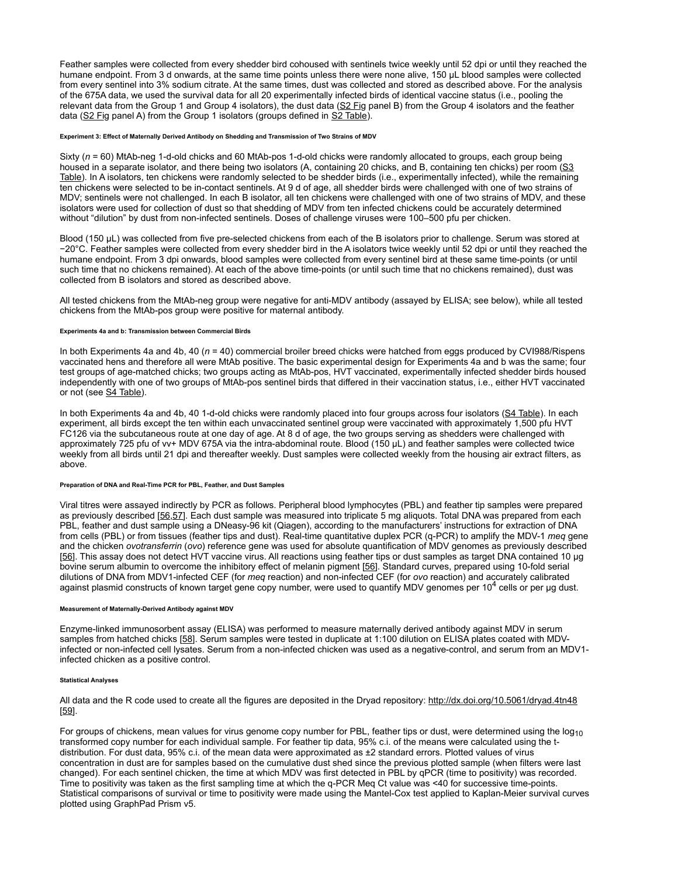Feather samples were collected from every shedder bird cohoused with sentinels twice weekly until 52 dpi or until they reached the humane endpoint. From 3 d onwards, at the same time points unless there were none alive, 150 μL blood samples were collected from every sentinel into 3% sodium citrate. At the same times, dust was collected and stored as described above. For the analysis of the 675A data, we used the survival data for all 20 experimentally infected birds of identical vaccine status (i.e., pooling the relevant data from the Group 1 and Group 4 isolators), the dust data ([S2 Fig](#page-7-1) panel B) from the Group 4 isolators and the feather data [\(S2 Fig](#page-7-1) panel A) from the Group 1 isolators (groups defined in [S2 Table\)](#page-7-4).

#### **Experiment 3: Effect of Maternally Derived Antibody on Shedding and Transmission of Two Strains of MDV**

Sixty (*n* = 60) MtAb-neg 1-d-old chicks and 60 MtAb-pos 1-d-old chicks were randomly allocated to groups, each group being [housed in a separate isolator, and there being two isolators \(A, containing 20 chicks, and B, containing ten chicks\) per room \(S3](#page-7-5) Table). In A isolators, ten chickens were randomly selected to be shedder birds (i.e., experimentally infected), while the remaining ten chickens were selected to be in-contact sentinels. At 9 d of age, all shedder birds were challenged with one of two strains of MDV; sentinels were not challenged. In each B isolator, all ten chickens were challenged with one of two strains of MDV, and these isolators were used for collection of dust so that shedding of MDV from ten infected chickens could be accurately determined without "dilution" by dust from non-infected sentinels. Doses of challenge viruses were 100–500 pfu per chicken.

Blood (150 μL) was collected from five pre-selected chickens from each of the B isolators prior to challenge. Serum was stored at −20°C. Feather samples were collected from every shedder bird in the A isolators twice weekly until 52 dpi or until they reached the humane endpoint. From 3 dpi onwards, blood samples were collected from every sentinel bird at these same time-points (or until such time that no chickens remained). At each of the above time-points (or until such time that no chickens remained), dust was collected from B isolators and stored as described above.

All tested chickens from the MtAb-neg group were negative for anti-MDV antibody (assayed by ELISA; see below), while all tested chickens from the MtAb-pos group were positive for maternal antibody.

#### **Experiments 4a and b: Transmission between Commercial Birds**

In both Experiments 4a and 4b, 40 (*n* = 40) commercial broiler breed chicks were hatched from eggs produced by CVI988/Rispens vaccinated hens and therefore all were MtAb positive. The basic experimental design for Experiments 4a and b was the same; four test groups of age-matched chicks; two groups acting as MtAb-pos, HVT vaccinated, experimentally infected shedder birds housed independently with one of two groups of MtAb-pos sentinel birds that differed in their vaccination status, i.e., either HVT vaccinated or not (see **S4 Table**).

In both Experiments 4a and 4b, 40 1-d-old chicks were randomly placed into four groups across four isolators ([S4 Table](#page-7-6)). In each experiment, all birds except the ten within each unvaccinated sentinel group were vaccinated with approximately 1,500 pfu HVT FC126 via the subcutaneous route at one day of age. At 8 d of age, the two groups serving as shedders were challenged with approximately 725 pfu of vv+ MDV 675A via the intra-abdominal route. Blood (150 μL) and feather samples were collected twice weekly from all birds until 21 dpi and thereafter weekly. Dust samples were collected weekly from the housing air extract filters, as above.

#### **Preparation of DNA and Real-Time PCR for PBL, Feather, and Dust Samples**

Viral titres were assayed indirectly by PCR as follows. Peripheral blood lymphocytes (PBL) and feather tip samples were prepared as previously described [[56,](#page-11-1)[57](#page-11-2)]. Each dust sample was measured into triplicate 5 mg aliquots. Total DNA was prepared from each PBL, feather and dust sample using a DNeasy-96 kit (Qiagen), according to the manufacturers' instructions for extraction of DNA from cells (PBL) or from tissues (feather tips and dust). Real-time quantitative duplex PCR (q-PCR) to amplify the MDV-1 *meq* gene and the chicken *ovotransferrin* (*ovo*) reference gene was used for absolute quantification of MDV genomes as previously described [\[56](#page-11-1)]. This assay does not detect HVT vaccine virus. All reactions using feather tips or dust samples as target DNA contained 10 μg bovine serum albumin to overcome the inhibitory effect of melanin pigment [[56\]](#page-11-1). Standard curves, prepared using 10-fold serial dilutions of DNA from MDV1-infected CEF (for *meq* reaction) and non-infected CEF (for *ovo* reaction) and accurately calibrated against plasmid constructs of known target gene copy number, were used to quantify MDV genomes per 10<sup>4</sup> cells or per µg dust.

#### **Measurement of Maternally-Derived Antibody against MDV**

Enzyme-linked immunosorbent assay (ELISA) was performed to measure maternally derived antibody against MDV in serum samples from hatched chicks [[58\]](#page-11-3). Serum samples were tested in duplicate at 1:100 dilution on ELISA plates coated with MDVinfected or non-infected cell lysates. Serum from a non-infected chicken was used as a negative-control, and serum from an MDV1 infected chicken as a positive control.

#### **Statistical Analyses**

All data and the R code used to create all the figures are deposited in the Dryad repository: <http://dx.doi.org/10.5061/dryad.4tn48> [\[59](#page-11-4)].

For groups of chickens, mean values for virus genome copy number for PBL, feather tips or dust, were determined using the log<sub>10</sub> transformed copy number for each individual sample. For feather tip data, 95% c.i. of the means were calculated using the tdistribution. For dust data, 95% c.i. of the mean data were approximated as  $\pm 2$  standard errors. Plotted values of virus concentration in dust are for samples based on the cumulative dust shed since the previous plotted sample (when filters were last changed). For each sentinel chicken, the time at which MDV was first detected in PBL by qPCR (time to positivity) was recorded. Time to positivity was taken as the first sampling time at which the q-PCR Meq Ct value was <40 for successive time-points. Statistical comparisons of survival or time to positivity were made using the Mantel-Cox test applied to Kaplan-Meier survival curves plotted using GraphPad Prism v5.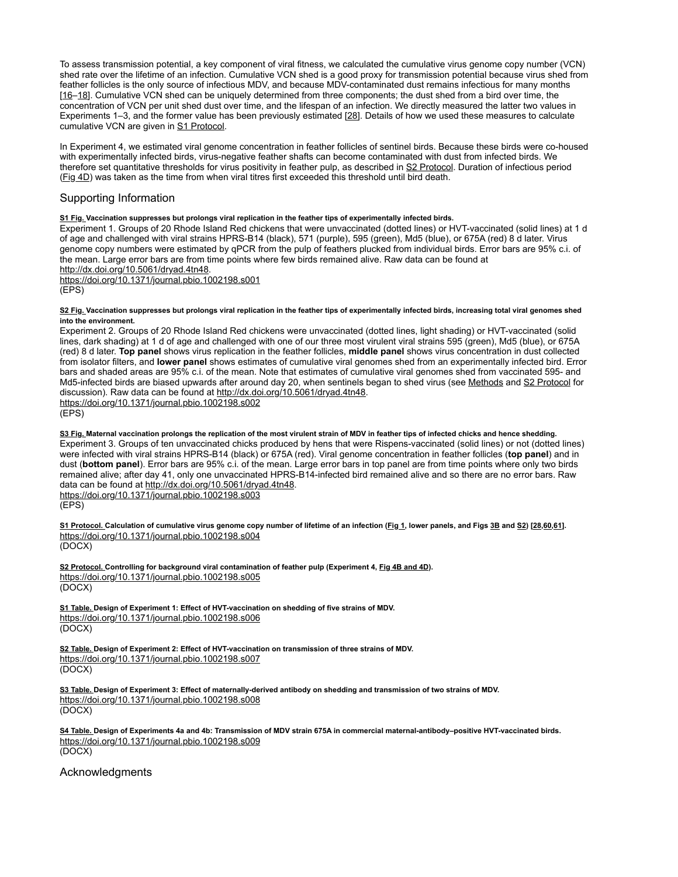To assess transmission potential, a key component of viral fitness, we calculated the cumulative virus genome copy number (VCN) shed rate over the lifetime of an infection. Cumulative VCN shed is a good proxy for transmission potential because virus shed from feather follicles is the only source of infectious MDV, and because MDV-contaminated dust remains infectious for many months [\[16](#page-8-9)[–18](#page-9-0)]. Cumulative VCN shed can be uniquely determined from three components; the dust shed from a bird over time, the concentration of VCN per unit shed dust over time, and the lifespan of an infection. We directly measured the latter two values in Experiments 1–3, and the former value has been previously estimated [[28\]](#page-9-4). Details of how we used these measures to calculate cumulative VCN are given in [S1 Protocol.](#page-7-7)

In Experiment 4, we estimated viral genome concentration in feather follicles of sentinel birds. Because these birds were co-housed with experimentally infected birds, virus-negative feather shafts can become contaminated with dust from infected birds. We therefore set quantitative thresholds for virus positivity in feather pulp, as described in [S2 Protocol](#page-7-8). Duration of infectious period ([Fig 4D\)](#page-3-0) was taken as the time from when viral titres first exceeded this threshold until bird death.

# Supporting Information

# <span id="page-7-0"></span>**[S1 Fig. V](https://journals.plos.org/plosbiology/article/file?type=supplementary&id=info:doi/10.1371/journal.pbio.1002198.s001)accination suppresses but prolongs viral replication in the feather tips of experimentally infected birds.**

Experiment 1. Groups of 20 Rhode Island Red chickens that were unvaccinated (dotted lines) or HVT-vaccinated (solid lines) at 1 d of age and challenged with viral strains HPRS-B14 (black), 571 (purple), 595 (green), Md5 (blue), or 675A (red) 8 d later. Virus genome copy numbers were estimated by qPCR from the pulp of feathers plucked from individual birds. Error bars are 95% c.i. of the mean. Large error bars are from time points where few birds remained alive. Raw data can be found at [http://dx.doi.org/10.5061/dryad.4tn48.](http://dx.doi.org/10.5061/dryad.4tn48)

<https://doi.org/10.1371/journal.pbio.1002198.s001>

(EPS)

### <span id="page-7-1"></span>**[S2 Fig. V](https://journals.plos.org/plosbiology/article/file?type=supplementary&id=info:doi/10.1371/journal.pbio.1002198.s002)accination suppresses but prolongs viral replication in the feather tips of experimentally infected birds, increasing total viral genomes shed into the environment.**

Experiment 2. Groups of 20 Rhode Island Red chickens were unvaccinated (dotted lines, light shading) or HVT-vaccinated (solid lines, dark shading) at 1 d of age and challenged with one of our three most virulent viral strains 595 (green), Md5 (blue), or 675A (red) 8 d later. **Top panel** shows virus replication in the feather follicles, **middle panel** shows virus concentration in dust collected from isolator filters, and **lower panel** shows estimates of cumulative viral genomes shed from an experimentally infected bird. Error bars and shaded areas are 95% c.i. of the mean. Note that estimates of cumulative viral genomes shed from vaccinated 595- and Md5-infected birds are biased upwards after around day 20, when sentinels began to shed virus (see [Methods](#page-4-0) and [S2 Protocol](#page-7-8) for discussion). Raw data can be found at <http://dx.doi.org/10.5061/dryad.4tn48>.

<https://doi.org/10.1371/journal.pbio.1002198.s002>

(EPS)

# <span id="page-7-2"></span>**[S3 Fig. M](https://journals.plos.org/plosbiology/article/file?type=supplementary&id=info:doi/10.1371/journal.pbio.1002198.s003)aternal vaccination prolongs the replication of the most virulent strain of MDV in feather tips of infected chicks and hence shedding.**

Experiment 3. Groups of ten unvaccinated chicks produced by hens that were Rispens-vaccinated (solid lines) or not (dotted lines) were infected with viral strains HPRS-B14 (black) or 675A (red). Viral genome concentration in feather follicles (**top panel**) and in dust (**bottom panel**). Error bars are 95% c.i. of the mean. Large error bars in top panel are from time points where only two birds remained alive; after day 41, only one unvaccinated HPRS-B14-infected bird remained alive and so there are no error bars. Raw data can be found at [http://dx.doi.org/10.5061/dryad.4tn48.](http://dx.doi.org/10.5061/dryad.4tn48)

<https://doi.org/10.1371/journal.pbio.1002198.s003> (EPS)

<span id="page-7-7"></span>[S1 Protocol. C](https://journals.plos.org/plosbiology/article/file?type=supplementary&id=info:doi/10.1371/journal.pbio.1002198.s004)alculation of cumulative virus genome copy number of lifetime of an infection (Fig.1, lower panels, and Figs [3B](#page-2-1) and [S2](#page-7-1)) [\[28,](#page-9-4)[60](#page-11-5)[,61\]](#page-11-6). <https://doi.org/10.1371/journal.pbio.1002198.s004> (DOCX)

<span id="page-7-8"></span>**[S2 Protocol. C](https://journals.plos.org/plosbiology/article/file?type=supplementary&id=info:doi/10.1371/journal.pbio.1002198.s005)ontrolling for background viral contamination of feather pulp (Experiment 4, [Fig 4B and 4D](#page-3-0)).** <https://doi.org/10.1371/journal.pbio.1002198.s005> (DOCX)

<span id="page-7-3"></span>**[S1 Table. D](https://journals.plos.org/plosbiology/article/file?type=supplementary&id=info:doi/10.1371/journal.pbio.1002198.s006)esign of Experiment 1: Effect of HVT-vaccination on shedding of five strains of MDV.** <https://doi.org/10.1371/journal.pbio.1002198.s006> (DOCX)

<span id="page-7-4"></span>**[S2 Table. D](https://journals.plos.org/plosbiology/article/file?type=supplementary&id=info:doi/10.1371/journal.pbio.1002198.s007)esign of Experiment 2: Effect of HVT-vaccination on transmission of three strains of MDV.** <https://doi.org/10.1371/journal.pbio.1002198.s007> (DOCX)

<span id="page-7-5"></span>**[S3 Table. D](https://journals.plos.org/plosbiology/article/file?type=supplementary&id=info:doi/10.1371/journal.pbio.1002198.s008)esign of Experiment 3: Effect of maternally-derived antibody on shedding and transmission of two strains of MDV.** <https://doi.org/10.1371/journal.pbio.1002198.s008> (DOCX)

<span id="page-7-6"></span>**[S4 Table. D](https://journals.plos.org/plosbiology/article/file?type=supplementary&id=info:doi/10.1371/journal.pbio.1002198.s009)esign of Experiments 4a and 4b: Transmission of MDV strain 675A in commercial maternal-antibody–positive HVT-vaccinated birds.** <https://doi.org/10.1371/journal.pbio.1002198.s009> (DOCX)

Acknowledgments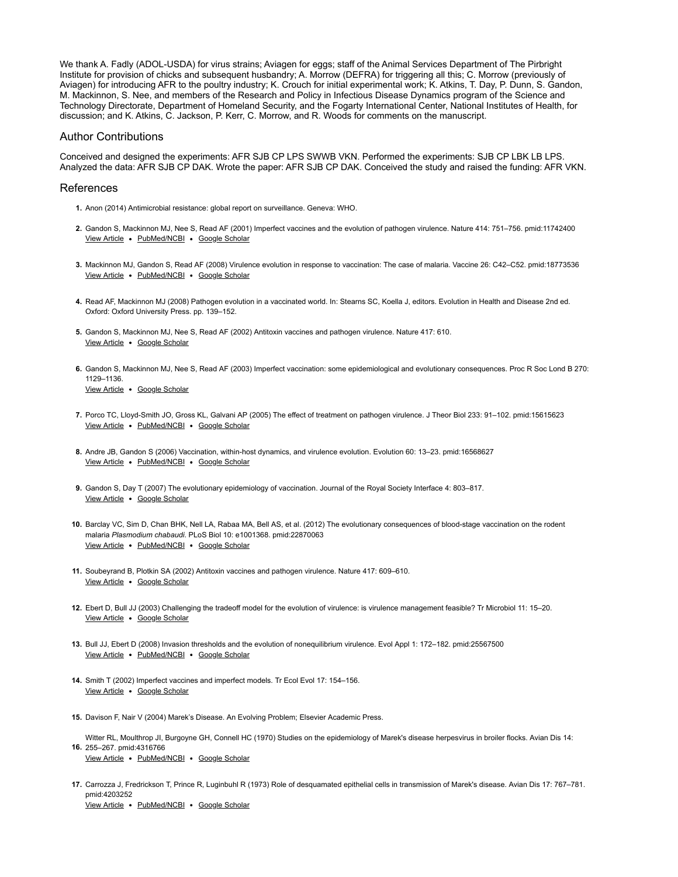We thank A. Fadly (ADOL-USDA) for virus strains; Aviagen for eggs; staff of the Animal Services Department of The Pirbright Institute for provision of chicks and subsequent husbandry; A. Morrow (DEFRA) for triggering all this; C. Morrow (previously of Aviagen) for introducing AFR to the poultry industry; K. Crouch for initial experimental work; K. Atkins, T. Day, P. Dunn, S. Gandon, M. Mackinnon, S. Nee, and members of the Research and Policy in Infectious Disease Dynamics program of the Science and Technology Directorate, Department of Homeland Security, and the Fogarty International Center, National Institutes of Health, for discussion; and K. Atkins, C. Jackson, P. Kerr, C. Morrow, and R. Woods for comments on the manuscript.

# Author Contributions

Conceived and designed the experiments: AFR SJB CP LPS SWWB VKN. Performed the experiments: SJB CP LBK LB LPS. Analyzed the data: AFR SJB CP DAK. Wrote the paper: AFR SJB CP DAK. Conceived the study and raised the funding: AFR VKN.

### References

- <span id="page-8-0"></span>**1.** Anon (2014) Antimicrobial resistance: global report on surveillance. Geneva: WHO.
- <span id="page-8-1"></span>**2.** Gandon S, Mackinnon MJ, Nee S, Read AF (2001) Imperfect vaccines and the evolution of pathogen virulence. Nature 414: 751–756. pmid:11742400 View Article . [PubMed/NCBI](http://www.ncbi.nlm.nih.gov/pubmed/11742400) . [Google Scholar](http://scholar.google.com/scholar?q=Imperfect+vaccines+and+the+evolution+of+pathogen+virulence+Gandon+2001)
- **3.** Mackinnon MJ, Gandon S, Read AF (2008) Virulence evolution in response to vaccination: The case of malaria. Vaccine 26: C42–C52. pmid:18773536 View Article . [PubMed/NCBI](http://www.ncbi.nlm.nih.gov/pubmed/18773536) . [Google Scholar](http://scholar.google.com/scholar?q=Virulence+evolution+in+response+to+vaccination%3A+The+case+of+malaria+Mackinnon+2008)
- <span id="page-8-2"></span>**4.** Read AF, Mackinnon MJ (2008) Pathogen evolution in a vaccinated world. In: Stearns SC, Koella J, editors. Evolution in Health and Disease 2nd ed. Oxford: Oxford University Press. pp. 139–152.
- <span id="page-8-3"></span>**5.** Gandon S, Mackinnon MJ, Nee S, Read AF (2002) Antitoxin vaccines and pathogen virulence. Nature 417: 610. View Article . [Google Scholar](http://scholar.google.com/scholar?q=Antitoxin+vaccines+and+pathogen+virulence+Gandon+2002)
- **6.** Gandon S, Mackinnon MJ, Nee S, Read AF (2003) Imperfect vaccination: some epidemiological and evolutionary consequences. Proc R Soc Lond B 270: View Article . [Google Scholar](http://scholar.google.com/scholar?q=Imperfect+vaccination%3A+some+epidemiological+and+evolutionary+consequences+Gandon+2003) 1129–1136.
- <span id="page-8-12"></span>**7.** Porco TC, Lloyd-Smith JO, Gross KL, Galvani AP (2005) The effect of treatment on pathogen virulence. J Theor Biol 233: 91–102. pmid:15615623 View Article · [PubMed/NCBI](http://www.ncbi.nlm.nih.gov/pubmed/15615623) · [Google Scholar](http://scholar.google.com/scholar?q=The+effect+of+treatment+on+pathogen+virulence+Porco+2005)
- **8.** Andre JB, Gandon S (2006) Vaccination, within-host dynamics, and virulence evolution. Evolution 60: 13–23. pmid:16568627 View Article . [PubMed/NCBI](http://www.ncbi.nlm.nih.gov/pubmed/16568627) . [Google Scholar](http://scholar.google.com/scholar?q=Vaccination%2C+within-host+dynamics%2C+and+virulence+evolution+Andre+2006)
- <span id="page-8-4"></span>**9.** Gandon S, Day T (2007) The evolutionary epidemiology of vaccination. Journal of the Royal Society Interface 4: 803–817. View Article . [Google Scholar](http://scholar.google.com/scholar?q=The+evolutionary+epidemiology+of+vaccination+Gandon+2007)
- <span id="page-8-5"></span>**10.** Barclay VC, Sim D, Chan BHK, Nell LA, Rabaa MA, Bell AS, et al. (2012) The evolutionary consequences of blood-stage vaccination on the rodent [View Article](https://doi.org/10.1371/journal.pbio.1001368) . [PubMed/NCBI](http://www.ncbi.nlm.nih.gov/pubmed/22870063) . [Google Scholar](http://scholar.google.com/scholar?q=The+evolutionary+consequences+of+blood-stage+vaccination+on+the+rodent+malaria+Plasmodium+chabaudi+Barclay+2012) malaria *Plasmodium chabaudi*. PLoS Biol 10: e1001368. pmid:22870063
- <span id="page-8-6"></span>**11.** Soubeyrand B, Plotkin SA (2002) Antitoxin vaccines and pathogen virulence. Nature 417: 609–610. View Article . [Google Scholar](http://scholar.google.com/scholar?q=Antitoxin+vaccines+and+pathogen+virulence+Soubeyrand+2002)
- **12.** Ebert D, Bull JJ (2003) Challenging the tradeoff model for the evolution of virulence: is virulence management feasible? Tr Microbiol 11: 15–20. View Article . [Google Scholar](http://scholar.google.com/scholar?q=Challenging+the+tradeoff+model+for+the+evolution+of+virulence%3A+is+virulence+management+feasible%3F+Ebert+2003)
- <span id="page-8-11"></span>**13.** Bull JJ, Ebert D (2008) Invasion thresholds and the evolution of nonequilibrium virulence. Evol Appl 1: 172–182. pmid:25567500 [View Article](https://doi.org/10.1111/j.1752-4571.2007.00003.x) . [PubMed/NCBI](http://www.ncbi.nlm.nih.gov/pubmed/25567500) . [Google Scholar](http://scholar.google.com/scholar?q=Invasion+thresholds+and+the+evolution+of+nonequilibrium+virulence+Bull+2008)
- <span id="page-8-7"></span>**14.** Smith T (2002) Imperfect vaccines and imperfect models. Tr Ecol Evol 17: 154–156. View Article . [Google Scholar](http://scholar.google.com/scholar?q=Imperfect+vaccines+and+imperfect+models+Smith+2002)
- <span id="page-8-8"></span>**15.** Davison F, Nair V (2004) Marek's Disease. An Evolving Problem; Elsevier Academic Press.

<span id="page-8-9"></span>**16.** 255–267. pmid:4316766 Witter RL, Moulthrop JI, Burgoyne GH, Connell HC (1970) Studies on the epidemiology of Marek's disease herpesvirus in broiler flocks. Avian Dis 14:

View Article · [PubMed/NCBI](http://www.ncbi.nlm.nih.gov/pubmed/4316766) · [Google Scholar](http://scholar.google.com/scholar?q=Studies+on+the+epidemiology+of+Marek%26apos%3Bs+disease+herpesvirus+in+broiler+flocks+Witter+1970)

<span id="page-8-10"></span>**17.** Carrozza J, Fredrickson T, Prince R, Luginbuhl R (1973) Role of desquamated epithelial cells in transmission of Marek's disease. Avian Dis 17: 767–781. pmid:4203252

View Article . [PubMed/NCBI](http://www.ncbi.nlm.nih.gov/pubmed/4203252) . [Google Scholar](http://scholar.google.com/scholar?q=Role+of+desquamated+epithelial+cells+in+transmission+of+Marek%26apos%3Bs+disease+Carrozza+1973)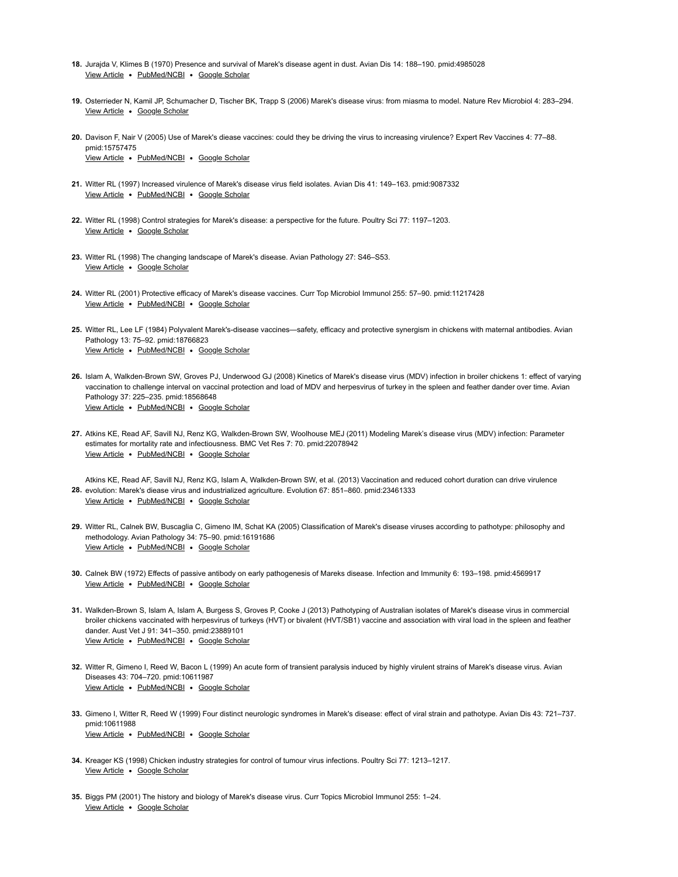- <span id="page-9-0"></span>**18.** Jurajda V, Klimes B (1970) Presence and survival of Marek's disease agent in dust. Avian Dis 14: 188–190. pmid:4985028 View Article . [PubMed/NCBI](http://www.ncbi.nlm.nih.gov/pubmed/4985028) . [Google Scholar](http://scholar.google.com/scholar?q=Presence+and+survival+of+Marek%26apos%3Bs+disease+agent+in+dust+Jurajda+1970)
- <span id="page-9-1"></span>**19.** Osterrieder N, Kamil JP, Schumacher D, Tischer BK, Trapp S (2006) Marek's disease virus: from miasma to model. Nature Rev Microbiol 4: 283–294. View Article . [Google Scholar](http://scholar.google.com/scholar?q=Marek%26apos%3Bs+disease+virus%3A+from+miasma+to+model+Osterrieder+2006)
- **20.** Davison F, Nair V (2005) Use of Marek's diease vaccines: could they be driving the virus to increasing virulence? Expert Rev Vaccines 4: 77–88. View Article . [PubMed/NCBI](http://www.ncbi.nlm.nih.gov/pubmed/15757475) . [Google Scholar](http://scholar.google.com/scholar?q=Use+of+Marek%26apos%3Bs+diease+vaccines%3A+could+they+be+driving+the+virus+to+increasing+virulence%3F+Davison+2005) pmid:15757475
- <span id="page-9-5"></span>**21.** Witter RL (1997) Increased virulence of Marek's disease virus field isolates. Avian Dis 41: 149–163. pmid:9087332 View Article . [PubMed/NCBI](http://www.ncbi.nlm.nih.gov/pubmed/9087332) . [Google Scholar](http://scholar.google.com/scholar?q=Increased+virulence+of+Marek%26apos%3Bs+disease+virus+field+isolates+Witter+1997)
- **22.** Witter RL (1998) Control strategies for Marek's disease: a perspective for the future. Poultry Sci 77: 1197–1203. View Article . [Google Scholar](http://scholar.google.com/scholar?q=Control+strategies+for+Marek%26apos%3Bs+disease%3A+a+perspective+for+the+future+Witter+1998)
- <span id="page-9-9"></span>**23.** Witter RL (1998) The changing landscape of Marek's disease. Avian Pathology 27: S46–S53. View Article . [Google Scholar](http://scholar.google.com/scholar?q=The+changing+landscape+of+Marek%26apos%3Bs+disease+Witter+1998)
- <span id="page-9-2"></span>**24.** Witter RL (2001) Protective efficacy of Marek's disease vaccines. Curr Top Microbiol Immunol 255: 57–90. pmid:11217428 View Article . [PubMed/NCBI](http://www.ncbi.nlm.nih.gov/pubmed/11217428) . [Google Scholar](http://scholar.google.com/scholar?q=Protective+efficacy+of+Marek%26apos%3Bs+disease+vaccines+Witter+2001)
- <span id="page-9-3"></span>**25.** Witter RL, Lee LF (1984) Polyvalent Marek's-disease vaccines—safety, efficacy and protective synergism in chickens with maternal antibodies. Avian View Article . [PubMed/NCBI](http://www.ncbi.nlm.nih.gov/pubmed/18766823) . [Google Scholar](http://scholar.google.com/scholar?q=Polyvalent+Marek%26apos%3Bs-disease+vaccines%E2%80%94safety%2C+efficacy+and+protective+synergism+in+chickens+with+maternal+antibodies+Witter+1984) Pathology 13: 75–92. pmid:18766823
- **26.** Islam A, Walkden-Brown SW, Groves PJ, Underwood GJ (2008) Kinetics of Marek's disease virus (MDV) infection in broiler chickens 1: effect of varying [View Article](https://doi.org/10.1080/03079450701802230) . [PubMed/NCBI](http://www.ncbi.nlm.nih.gov/pubmed/18568648) . [Google Scholar](http://scholar.google.com/scholar?q=Kinetics+of+Marek%26apos%3Bs+disease+virus+%28MDV%29+infection+in+broiler+chickens+1%3A+effect+of+varying+vaccination+to+challenge+interval+on+vaccinal+protection+and+load+of+MDV+and+herpesvirus+of+turkey+in+the+spleen+and+feather+dander+over+time+Islam+2008) vaccination to challenge interval on vaccinal protection and load of MDV and herpesvirus of turkey in the spleen and feather dander over time. Avian Pathology 37: 225–235. pmid:18568648
- <span id="page-9-11"></span>**27.** Atkins KE, Read AF, Savill NJ, Renz KG, Walkden-Brown SW, Woolhouse MEJ (2011) Modeling Marek's disease virus (MDV) infection: Parameter [View Article](https://doi.org/10.1186/1746-6148-7-70) . [PubMed/NCBI](http://www.ncbi.nlm.nih.gov/pubmed/22078942) . [Google Scholar](http://scholar.google.com/scholar?q=Modeling+Marek%E2%80%99s+disease+virus+%28MDV%29+infection%3A+Parameter+estimates+for+mortality+rate+and+infectiousness+Atkins+2011) estimates for mortality rate and infectiousness. BMC Vet Res 7: 70. pmid:22078942
- <span id="page-9-4"></span>**28.** evolution: Marek's diease virus and industrialized agriculture. Evolution 67: 851–860. pmid:23461333 [View Article](https://doi.org/10.1111/j.1558-5646.2012.01803.x) . [PubMed/NCBI](http://www.ncbi.nlm.nih.gov/pubmed/23461333) . [Google Scholar](http://scholar.google.com/scholar?q=Vaccination+and+reduced+cohort+duration+can+drive+virulence+evolution%3A+Marek%26apos%3Bs+diease+virus+and+industrialized+agriculture+Atkins+2013) Atkins KE, Read AF, Savill NJ, Renz KG, Islam A, Walkden-Brown SW, et al. (2013) Vaccination and reduced cohort duration can drive virulence
- <span id="page-9-6"></span>**29.** Witter RL, Calnek BW, Buscaglia C, Gimeno IM, Schat KA (2005) Classification of Marek's disease viruses according to pathotype: philosophy and View Article . [PubMed/NCBI](http://www.ncbi.nlm.nih.gov/pubmed/16191686) . [Google Scholar](http://scholar.google.com/scholar?q=Classification+of+Marek%26apos%3Bs+disease+viruses+according+to+pathotype%3A+philosophy+and+methodology+Witter+2005) methodology. Avian Pathology 34: 75–90. pmid:16191686
- <span id="page-9-7"></span>**30.** Calnek BW (1972) Effects of passive antibody on early pathogenesis of Mareks disease. Infection and Immunity 6: 193–198. pmid:4569917 View Article . [PubMed/NCBI](http://www.ncbi.nlm.nih.gov/pubmed/4569917) . [Google Scholar](http://scholar.google.com/scholar?q=Effects+of+passive+antibody+on+early+pathogenesis+of+Mareks+disease+Calnek+1972)
- **31.** Walkden-Brown S, Islam A, Islam A, Burgess S, Groves P, Cooke J (2013) Pathotyping of Australian isolates of Marek's disease virus in commercial [View Article](https://doi.org/10.1111/avj.12084) . [PubMed/NCBI](http://www.ncbi.nlm.nih.gov/pubmed/23889101) . [Google Scholar](http://scholar.google.com/scholar?q=Pathotyping+of+Australian+isolates+of+Marek%26apos%3Bs+disease+virus+in+commercial+broiler+chickens+vaccinated+with+herpesvirus+of+turkeys+%28HVT%29+or+bivalent+%28HVT%2FSB1%29+vaccine+and+association+with+viral+load+in+the+spleen+and+feather+dander+Walkden-Brown+2013) broiler chickens vaccinated with herpesvirus of turkeys (HVT) or bivalent (HVT/SB1) vaccine and association with viral load in the spleen and feather dander. Aust Vet J 91: 341–350. pmid:23889101
- **32.** Witter R, Gimeno I, Reed W, Bacon L (1999) An acute form of transient paralysis induced by highly virulent strains of Marek's disease virus. Avian View Article . [PubMed/NCBI](http://www.ncbi.nlm.nih.gov/pubmed/10611987) . [Google Scholar](http://scholar.google.com/scholar?q=An+acute+form+of+transient+paralysis+induced+by+highly+virulent+strains+of+Marek%26apos%3Bs+disease+virus+Witter+1999) Diseases 43: 704–720. pmid:10611987
- <span id="page-9-8"></span>**33.** Gimeno I, Witter R, Reed W (1999) Four distinct neurologic syndromes in Marek's disease: effect of viral strain and pathotype. Avian Dis 43: 721–737. View Article . [PubMed/NCBI](http://www.ncbi.nlm.nih.gov/pubmed/10611988) . [Google Scholar](http://scholar.google.com/scholar?q=Four+distinct+neurologic+syndromes+in+Marek%26apos%3Bs+disease%3A+effect+of+viral+strain+and+pathotype+Gimeno+1999) pmid:10611988
- <span id="page-9-10"></span>**34.** Kreager KS (1998) Chicken industry strategies for control of tumour virus infections. Poultry Sci 77: 1213–1217. View Article . [Google Scholar](http://scholar.google.com/scholar?q=Chicken+industry+strategies+for+control+of+tumour+virus+infections+Kreager+1998)
- **35.** Biggs PM (2001) The history and biology of Marek's disease virus. Curr Topics Microbiol Immunol 255: 1–24.View Article . [Google Scholar](http://scholar.google.com/scholar?q=The+history+and+biology+of+Marek%26apos%3Bs+disease+virus+Biggs+2001)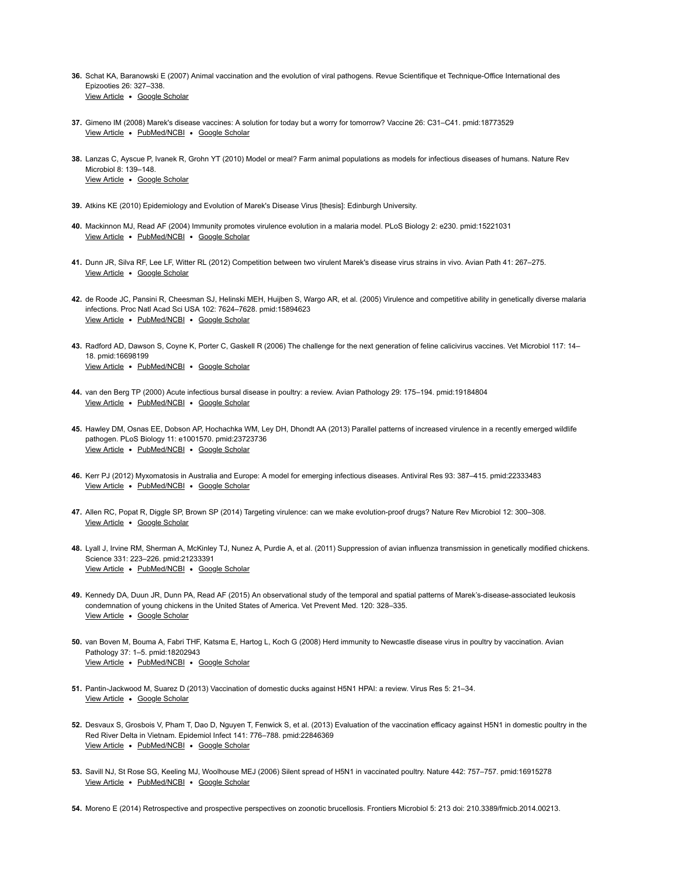- **36.** Schat KA, Baranowski E (2007) Animal vaccination and the evolution of viral pathogens. Revue Scientifique et Technique-Office International des View Article . [Google Scholar](http://scholar.google.com/scholar?q=Animal+vaccination+and+the+evolution+of+viral+pathogens+Schat+2007) Epizooties 26: 327–338.
- <span id="page-10-0"></span>**37.** Gimeno IM (2008) Marek's disease vaccines: A solution for today but a worry for tomorrow? Vaccine 26: C31–C41. pmid:18773529 View Article . [PubMed/NCBI](http://www.ncbi.nlm.nih.gov/pubmed/18773529) . [Google Scholar](http://scholar.google.com/scholar?q=Marek%26apos%3Bs+disease+vaccines%3A+A+solution+for+today+but+a+worry+for+tomorrow%3F+Gimeno+2008)
- <span id="page-10-1"></span>**38.** Lanzas C, Ayscue P, Ivanek R, Grohn YT (2010) Model or meal? Farm animal populations as models for infectious diseases of humans. Nature Rev View Article . [Google Scholar](http://scholar.google.com/scholar?q=Model+or+meal%3F+Farm+animal+populations+as+models+for+infectious+diseases+of+humans+Lanzas+2010) Microbiol 8: 139–148.
- <span id="page-10-2"></span>**39.** Atkins KE (2010) Epidemiology and Evolution of Marek's Disease Virus [thesis]: Edinburgh University.
- <span id="page-10-3"></span>**40.** Mackinnon MJ, Read AF (2004) Immunity promotes virulence evolution in a malaria model. PLoS Biology 2: e230. pmid:15221031 View Article . [PubMed/NCBI](http://www.ncbi.nlm.nih.gov/pubmed/15221031) . [Google Scholar](http://scholar.google.com/scholar?q=Immunity+promotes+virulence+evolution+in+a+malaria+model+Mackinnon+2004)
- <span id="page-10-4"></span>**41.** Dunn JR, Silva RF, Lee LF, Witter RL (2012) Competition between two virulent Marek's disease virus strains in vivo. Avian Path 41: 267–275. View Article . [Google Scholar](http://scholar.google.com/scholar?q=Competition+between+two+virulent+Marek%26apos%3Bs+disease+virus+strains+in+vivo+Dunn+2012)
- <span id="page-10-5"></span>**42.** de Roode JC, Pansini R, Cheesman SJ, Helinski MEH, Huijben S, Wargo AR, et al. (2005) Virulence and competitive ability in genetically diverse malaria View Article · [PubMed/NCBI](http://www.ncbi.nlm.nih.gov/pubmed/15894623) · [Google Scholar](http://scholar.google.com/scholar?q=Virulence+and+competitive+ability+in+genetically+diverse+malaria+infections+de+Roode+2005) infections. Proc Natl Acad Sci USA 102: 7624–7628. pmid:15894623
- <span id="page-10-6"></span>**43.** Radford AD, Dawson S, Coyne K, Porter C, Gaskell R (2006) The challenge for the next generation of feline calicivirus vaccines. Vet Microbiol 117: 14– View Article • [PubMed/NCBI](http://www.ncbi.nlm.nih.gov/pubmed/16698199) • [Google Scholar](http://scholar.google.com/scholar?q=The+challenge+for+the+next+generation+of+feline+calicivirus+vaccines+Radford+2006) 18. pmid:16698199
- <span id="page-10-7"></span>**44.** van den Berg TP (2000) Acute infectious bursal disease in poultry: a review. Avian Pathology 29: 175–194. pmid:19184804 [View Article](https://doi.org/10.1080/03079450050045431) . [PubMed/NCBI](http://www.ncbi.nlm.nih.gov/pubmed/19184804) . [Google Scholar](http://scholar.google.com/scholar?q=Acute+infectious+bursal+disease+in+poultry%3A+a+review+van+den+Berg+2000)
- <span id="page-10-8"></span>**45.** Hawley DM, Osnas EE, Dobson AP, Hochachka WM, Ley DH, Dhondt AA (2013) Parallel patterns of increased virulence in a recently emerged wildlife [View Article](https://doi.org/10.1371/journal.pbio.1001570) . [PubMed/NCBI](http://www.ncbi.nlm.nih.gov/pubmed/23723736) . [Google Scholar](http://scholar.google.com/scholar?q=Parallel+patterns+of+increased+virulence+in+a+recently+emerged+wildlife+pathogen+Hawley+2013) pathogen. PLoS Biology 11: e1001570. pmid:23723736
- <span id="page-10-9"></span>**46.** Kerr PJ (2012) Myxomatosis in Australia and Europe: A model for emerging infectious diseases. Antiviral Res 93: 387–415. pmid:22333483 [View Article](https://doi.org/10.1016/j.antiviral.2012.01.009) · [PubMed/NCBI](http://www.ncbi.nlm.nih.gov/pubmed/22333483) · [Google Scholar](http://scholar.google.com/scholar?q=Myxomatosis+in+Australia+and+Europe%3A+A+model+for+emerging+infectious+diseases+Kerr+2012)
- <span id="page-10-10"></span>**47.** Allen RC, Popat R, Diggle SP, Brown SP (2014) Targeting virulence: can we make evolution-proof drugs? Nature Rev Microbiol 12: 300–308. View Article . [Google Scholar](http://scholar.google.com/scholar?q=Targeting+virulence%3A+can+we+make+evolution-proof+drugs%3F+Allen+2014)
- <span id="page-10-11"></span>**48.** Lyall J, Irvine RM, Sherman A, McKinley TJ, Nunez A, Purdie A, et al. (2011) Suppression of avian influenza transmission in genetically modified chickens. [View Article](https://doi.org/10.1126/science.1198020) . [PubMed/NCBI](http://www.ncbi.nlm.nih.gov/pubmed/21233391) . [Google Scholar](http://scholar.google.com/scholar?q=Suppression+of+avian+influenza+transmission+in+genetically+modified+chickens+Lyall+2011) Science 331: 223–226. pmid:21233391
- <span id="page-10-12"></span>**49.** Kennedy DA, Duun JR, Dunn PA, Read AF (2015) An observational study of the temporal and spatial patterns of Marek's-disease-associated leukosis [View Article](https://doi.org/10.1016/j.prevetmed.2015.04.013) . [Google Scholar](http://scholar.google.com/scholar?q=An+observational+study+of+the+temporal+and+spatial+patterns+of+Marek%E2%80%99s-disease-associated+leukosis+condemnation+of+young+chickens+in+the+United+States+of+America+Kennedy+2015) condemnation of young chickens in the United States of America. Vet Prevent Med. 120: 328–335.
- <span id="page-10-13"></span>**50.** van Boven M, Bouma A, Fabri THF, Katsma E, Hartog L, Koch G (2008) Herd immunity to Newcastle disease virus in poultry by vaccination. Avian [View Article](https://doi.org/10.1080/03079450701772391) · [PubMed/NCBI](http://www.ncbi.nlm.nih.gov/pubmed/18202943) · [Google Scholar](http://scholar.google.com/scholar?q=Herd+immunity+to+Newcastle+disease+virus+in+poultry+by+vaccination+van+Boven+2008) Pathology 37: 1–5. pmid:18202943
- <span id="page-10-14"></span>**51.** Pantin-Jackwood M, Suarez D (2013) Vaccination of domestic ducks against H5N1 HPAI: a review. Virus Res 5: 21–34. View Article . [Google Scholar](http://scholar.google.com/scholar?q=Vaccination+of+domestic+ducks+against+H5N1+HPAI%3A+a+review+Pantin-Jackwood+2013)
- **52.** Desvaux S, Grosbois V, Pham T, Dao D, Nguyen T, Fenwick S, et al. (2013) Evaluation of the vaccination efficacy against H5N1 in domestic poultry in the [View Article](https://doi.org/10.1017/S0950268812001628) . [PubMed/NCBI](http://www.ncbi.nlm.nih.gov/pubmed/22846369) . [Google Scholar](http://scholar.google.com/scholar?q=Evaluation+of+the+vaccination+efficacy+against+H5N1+in+domestic+poultry+in+the+Red+River+Delta+in+Vietnam+Desvaux+2013) Red River Delta in Vietnam. Epidemiol Infect 141: 776–788. pmid:22846369
- <span id="page-10-15"></span>**53.** Savill NJ, St Rose SG, Keeling MJ, Woolhouse MEJ (2006) Silent spread of H5N1 in vaccinated poultry. Nature 442: 757–757. pmid:16915278 View Article . [PubMed/NCBI](http://www.ncbi.nlm.nih.gov/pubmed/16915278) . [Google Scholar](http://scholar.google.com/scholar?q=Silent+spread+of+H5N1+in+vaccinated+poultry+Savill+2006)
- <span id="page-10-16"></span>**54.** Moreno E (2014) Retrospective and prospective perspectives on zoonotic brucellosis. Frontiers Microbiol 5: 213 doi: 210.3389/fmicb.2014.00213.